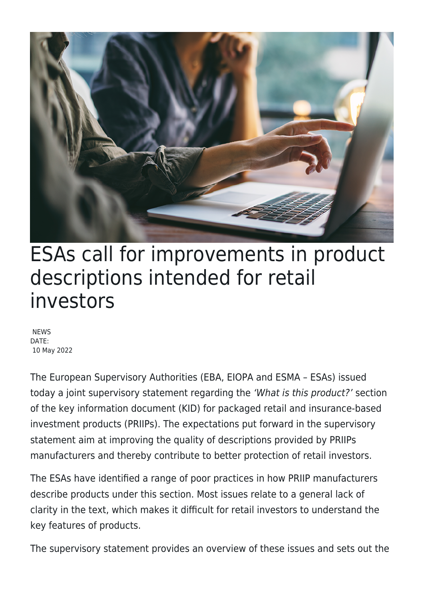

## ESAs call for improvements in product descriptions intended for retail investors

**NEWS** DATE: 10 May 2022

The European Supervisory Authorities (EBA, EIOPA and ESMA – ESAs) issued today a joint supervisory statement regarding the 'What is this product?' section of the key information document (KID) for packaged retail and insurance-based investment products (PRIIPs). The expectations put forward in the supervisory statement aim at improving the quality of descriptions provided by PRIIPs manufacturers and thereby contribute to better protection of retail investors.

The ESAs have identified a range of poor practices in how PRIIP manufacturers describe products under this section. Most issues relate to a general lack of clarity in the text, which makes it difficult for retail investors to understand the key features of products.

The supervisory statement provides an overview of these issues and sets out the